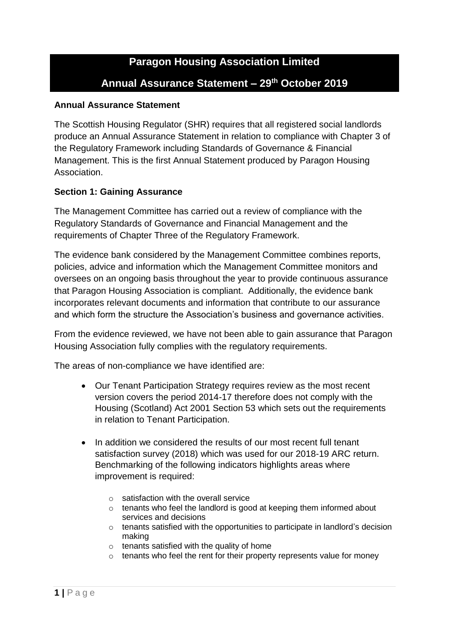# **Paragon Housing Association Limited Annual Assurance Statement – 29th October 2019**

### **Annual Assurance Statement**

The Scottish Housing Regulator (SHR) requires that all registered social landlords produce an Annual Assurance Statement in relation to compliance with Chapter 3 of the Regulatory Framework including Standards of Governance & Financial Management. This is the first Annual Statement produced by Paragon Housing Association.

#### **Section 1: Gaining Assurance**

The Management Committee has carried out a review of compliance with the Regulatory Standards of Governance and Financial Management and the requirements of Chapter Three of the Regulatory Framework.

The evidence bank considered by the Management Committee combines reports, policies, advice and information which the Management Committee monitors and oversees on an ongoing basis throughout the year to provide continuous assurance that Paragon Housing Association is compliant. Additionally, the evidence bank incorporates relevant documents and information that contribute to our assurance and which form the structure the Association's business and governance activities.

From the evidence reviewed, we have not been able to gain assurance that Paragon Housing Association fully complies with the regulatory requirements.

The areas of non-compliance we have identified are:

- Our Tenant Participation Strategy requires review as the most recent version covers the period 2014-17 therefore does not comply with the Housing (Scotland) Act 2001 Section 53 which sets out the requirements in relation to Tenant Participation.
- In addition we considered the results of our most recent full tenant satisfaction survey (2018) which was used for our 2018-19 ARC return. Benchmarking of the following indicators highlights areas where improvement is required:
	- $\circ$  satisfaction with the overall service
	- o tenants who feel the landlord is good at keeping them informed about services and decisions
	- $\circ$  tenants satisfied with the opportunities to participate in landlord's decision making
	- o tenants satisfied with the quality of home
	- $\circ$  tenants who feel the rent for their property represents value for money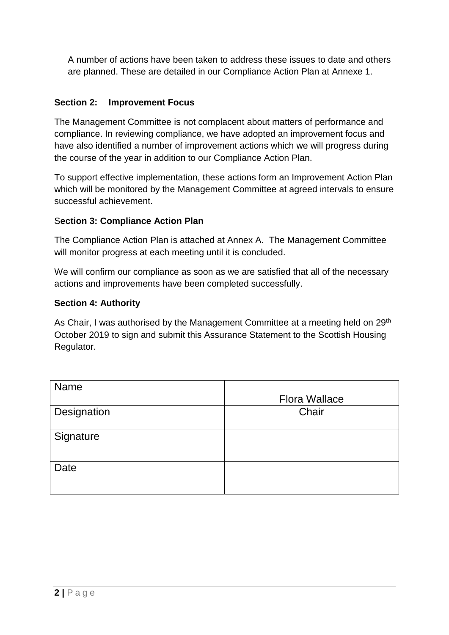A number of actions have been taken to address these issues to date and others are planned. These are detailed in our Compliance Action Plan at Annexe 1.

# **Section 2: Improvement Focus**

The Management Committee is not complacent about matters of performance and compliance. In reviewing compliance, we have adopted an improvement focus and have also identified a number of improvement actions which we will progress during the course of the year in addition to our Compliance Action Plan.

To support effective implementation, these actions form an Improvement Action Plan which will be monitored by the Management Committee at agreed intervals to ensure successful achievement.

# S**ection 3: Compliance Action Plan**

The Compliance Action Plan is attached at Annex A. The Management Committee will monitor progress at each meeting until it is concluded.

We will confirm our compliance as soon as we are satisfied that all of the necessary actions and improvements have been completed successfully.

# **Section 4: Authority**

As Chair, I was authorised by the Management Committee at a meeting held on 29<sup>th</sup> October 2019 to sign and submit this Assurance Statement to the Scottish Housing Regulator.

| Name        | <b>Flora Wallace</b> |
|-------------|----------------------|
| Designation | Chair                |
| Signature   |                      |
| Date        |                      |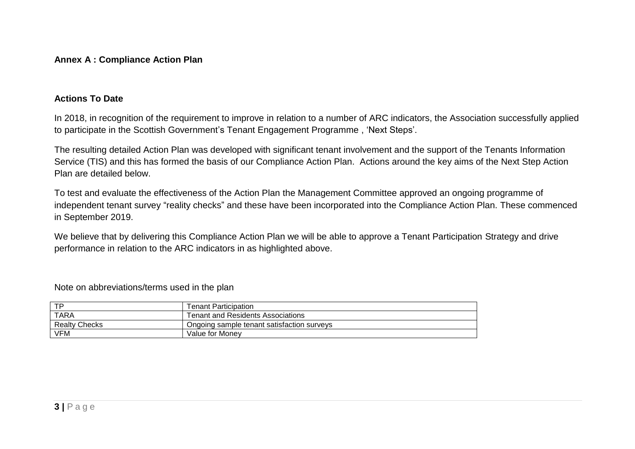#### **Annex A : Compliance Action Plan**

#### **Actions To Date**

In 2018, in recognition of the requirement to improve in relation to a number of ARC indicators, the Association successfully applied to participate in the Scottish Government's Tenant Engagement Programme , 'Next Steps'.

The resulting detailed Action Plan was developed with significant tenant involvement and the support of the Tenants Information Service (TIS) and this has formed the basis of our Compliance Action Plan. Actions around the key aims of the Next Step Action Plan are detailed below.

To test and evaluate the effectiveness of the Action Plan the Management Committee approved an ongoing programme of independent tenant survey "reality checks" and these have been incorporated into the Compliance Action Plan. These commenced in September 2019.

We believe that by delivering this Compliance Action Plan we will be able to approve a Tenant Participation Strategy and drive performance in relation to the ARC indicators in as highlighted above.

Note on abbreviations/terms used in the plan

| TD                   | <b>Tenant Participation</b>                |
|----------------------|--------------------------------------------|
| TARA                 | <b>Tenant and Residents Associations</b>   |
| <b>Realty Checks</b> | Ongoing sample tenant satisfaction surveys |
| <b>VFM</b>           | Value for Monev                            |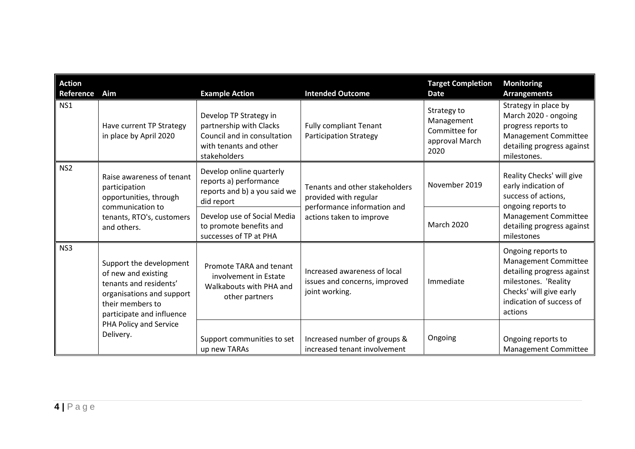| <b>Action</b><br>Reference | Aim                                                                                                                                                    | <b>Example Action</b>                                                                                                      | <b>Intended Outcome</b>                                                                                                                                  | <b>Target Completion</b><br><b>Date</b>                                                       | <b>Monitoring</b><br><b>Arrangements</b>                                                                                                                           |
|----------------------------|--------------------------------------------------------------------------------------------------------------------------------------------------------|----------------------------------------------------------------------------------------------------------------------------|----------------------------------------------------------------------------------------------------------------------------------------------------------|-----------------------------------------------------------------------------------------------|--------------------------------------------------------------------------------------------------------------------------------------------------------------------|
| NS1                        | Have current TP Strategy<br>in place by April 2020                                                                                                     | Develop TP Strategy in<br>partnership with Clacks<br>Council and in consultation<br>with tenants and other<br>stakeholders | <b>Fully compliant Tenant</b><br><b>Participation Strategy</b>                                                                                           | Strategy to<br>Management<br>Committee for<br>approval March<br>2020                          | Strategy in place by<br>March 2020 - ongoing<br>progress reports to<br>Management Committee<br>detailing progress against<br>milestones.                           |
| NS <sub>2</sub>            | Raise awareness of tenant<br>participation<br>opportunities, through<br>communication to<br>tenants, RTO's, customers<br>and others.                   | Develop online quarterly<br>reports a) performance<br>reports and b) a you said we<br>did report                           | November 2019<br>Tenants and other stakeholders<br>provided with regular<br>performance information and<br>actions taken to improve<br><b>March 2020</b> | Reality Checks' will give<br>early indication of<br>success of actions,<br>ongoing reports to |                                                                                                                                                                    |
|                            |                                                                                                                                                        | Develop use of Social Media<br>to promote benefits and<br>successes of TP at PHA                                           |                                                                                                                                                          |                                                                                               | Management Committee<br>detailing progress against<br>milestones                                                                                                   |
| NS3                        | Support the development<br>of new and existing<br>tenants and residents'<br>organisations and support<br>their members to<br>participate and influence | Promote TARA and tenant<br>involvement in Estate<br>Walkabouts with PHA and<br>other partners                              | Increased awareness of local<br>issues and concerns, improved<br>joint working.                                                                          | Immediate                                                                                     | Ongoing reports to<br>Management Committee<br>detailing progress against<br>milestones. 'Reality<br>Checks' will give early<br>indication of success of<br>actions |
|                            | PHA Policy and Service<br>Delivery.                                                                                                                    | Support communities to set<br>up new TARAs                                                                                 | Increased number of groups &<br>increased tenant involvement                                                                                             | Ongoing                                                                                       | Ongoing reports to<br>Management Committee                                                                                                                         |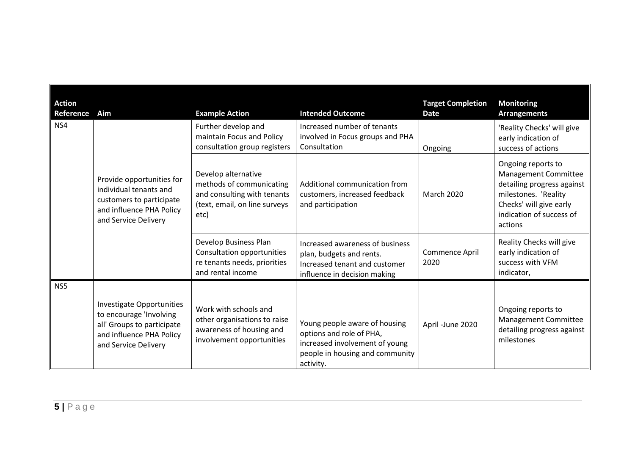| <b>Action</b><br>Reference | Aim                                                                                                                                    | <b>Example Action</b>                                                                                                   | <b>Intended Outcome</b>                                                                                                                     | <b>Target Completion</b><br><b>Date</b> | <b>Monitoring</b><br><b>Arrangements</b>                                                                                                                                  |
|----------------------------|----------------------------------------------------------------------------------------------------------------------------------------|-------------------------------------------------------------------------------------------------------------------------|---------------------------------------------------------------------------------------------------------------------------------------------|-----------------------------------------|---------------------------------------------------------------------------------------------------------------------------------------------------------------------------|
| NS4                        | Provide opportunities for<br>individual tenants and<br>customers to participate<br>and influence PHA Policy<br>and Service Delivery    | Further develop and<br>maintain Focus and Policy<br>consultation group registers                                        | Increased number of tenants<br>involved in Focus groups and PHA<br>Consultation                                                             | Ongoing                                 | 'Reality Checks' will give<br>early indication of<br>success of actions                                                                                                   |
|                            |                                                                                                                                        | Develop alternative<br>methods of communicating<br>and consulting with tenants<br>(text, email, on line surveys<br>etc) | Additional communication from<br>customers, increased feedback<br>and participation                                                         | March 2020                              | Ongoing reports to<br><b>Management Committee</b><br>detailing progress against<br>milestones. 'Reality<br>Checks' will give early<br>indication of success of<br>actions |
|                            |                                                                                                                                        | Develop Business Plan<br>Consultation opportunities<br>re tenants needs, priorities<br>and rental income                | Increased awareness of business<br>plan, budgets and rents.<br>Increased tenant and customer<br>influence in decision making                | Commence April<br>2020                  | Reality Checks will give<br>early indication of<br>success with VFM<br>indicator,                                                                                         |
| NS5                        | Investigate Opportunities<br>to encourage 'Involving<br>all' Groups to participate<br>and influence PHA Policy<br>and Service Delivery | Work with schools and<br>other organisations to raise<br>awareness of housing and<br>involvement opportunities          | Young people aware of housing<br>options and role of PHA,<br>increased involvement of young<br>people in housing and community<br>activity. | April -June 2020                        | Ongoing reports to<br>Management Committee<br>detailing progress against<br>milestones                                                                                    |